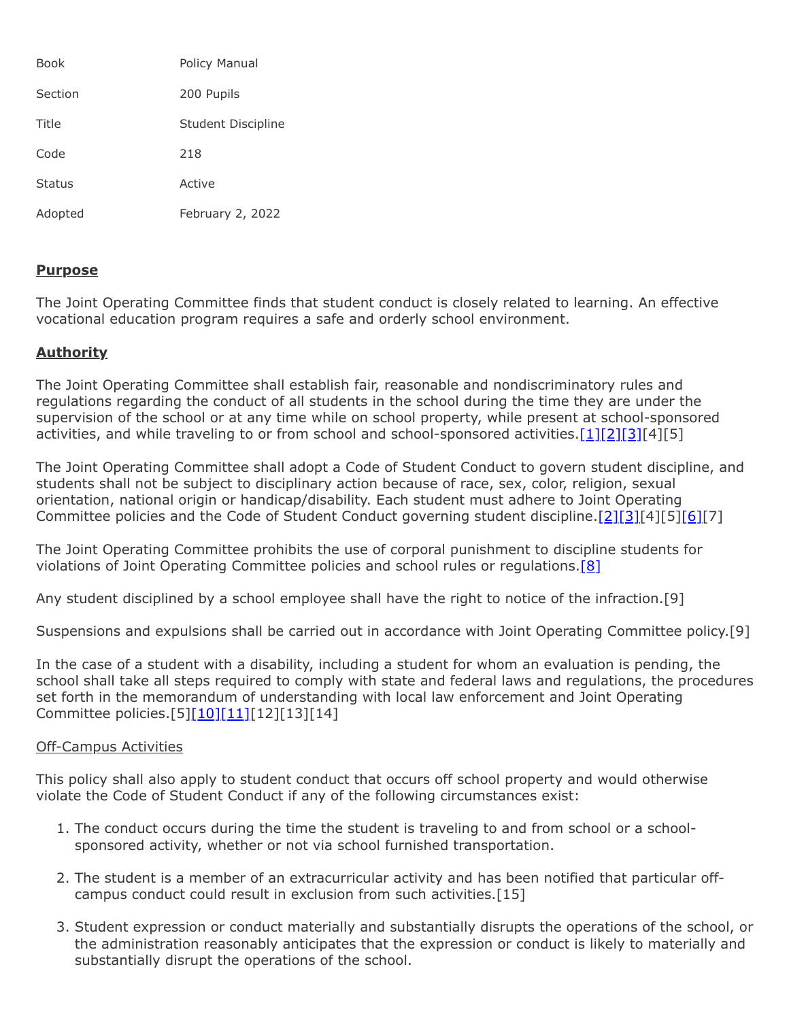| <b>Book</b>   | Policy Manual      |
|---------------|--------------------|
| Section       | 200 Pupils         |
| Title         | Student Discipline |
| Code          | 218                |
| <b>Status</b> | Active             |
| Adopted       | February 2, 2022   |

### **Purpose**

The Joint Operating Committee finds that student conduct is closely related to learning. An effective vocational education program requires a safe and orderly school environment.

## **Authority**

The Joint Operating Committee shall establish fair, reasonable and nondiscriminatory rules and regulations regarding the conduct of all students in the school during the time they are under the supervision of the school or at any time while on school property, while present at school-sponsored activities, and while traveling to or from school and school-sponsored activities.  $[1][2][3][4][5]$  $[1][2][3][4][5]$  $[1][2][3][4][5]$  $[1][2][3][4][5]$ 

The Joint Operating Committee shall adopt a Code of Student Conduct to govern student discipline, and students shall not be subject to disciplinary action because of race, sex, color, religion, sexual orientation, national origin or handicap/disability. Each student must adhere to Joint Operating Committee policies and the Code of Student Conduct governing student discipline.<sup>[\[2\]](http://pacodeandbulletin.gov/Display/pacode?file=/secure/pacode/data/022/chapter12/s12.3.html&d=reduce)[\[3\]](http://pacodeandbulletin.gov/Display/pacode?file=/secure/pacode/data/022/chapter12/s12.4.html&d=reduce)[4][5[\]\[6\]](http://pacodeandbulletin.gov/Display/pacode?file=/secure/pacode/data/022/chapter12/s12.2.html&d=reduce)[7]</sup>

The Joint Operating Committee prohibits the use of corporal punishment to discipline students for violations of Joint Operating Committee policies and school rules or regulations.<sup>[\[8\]](http://pacodeandbulletin.gov/Display/pacode?file=/secure/pacode/data/022/chapter12/s12.5.html&d=reduce)</sup>

Any student disciplined by a school employee shall have the right to notice of the infraction.[9]

Suspensions and expulsions shall be carried out in accordance with Joint Operating Committee policy.[9]

In the case of a student with a disability, including a student for whom an evaluation is pending, the school shall take all steps required to comply with state and federal laws and regulations, the procedures set forth in the memorandum of understanding with local law enforcement and Joint Operating Committee policies.[5[\]\[10\]](http://pacodeandbulletin.gov/Display/pacode?file=/secure/pacode/data/022/chapter10/s10.23.html&d=reduce)[\[11\]](http://www.law.cornell.edu/uscode/text/20/chapter-33)[12][13][14]

### Off-Campus Activities

This policy shall also apply to student conduct that occurs off school property and would otherwise violate the Code of Student Conduct if any of the following circumstances exist:

- 1. The conduct occurs during the time the student is traveling to and from school or a schoolsponsored activity, whether or not via school furnished transportation.
- 2. The student is a member of an extracurricular activity and has been notified that particular offcampus conduct could result in exclusion from such activities.[15]
- 3. Student expression or conduct materially and substantially disrupts the operations of the school, or the administration reasonably anticipates that the expression or conduct is likely to materially and substantially disrupt the operations of the school.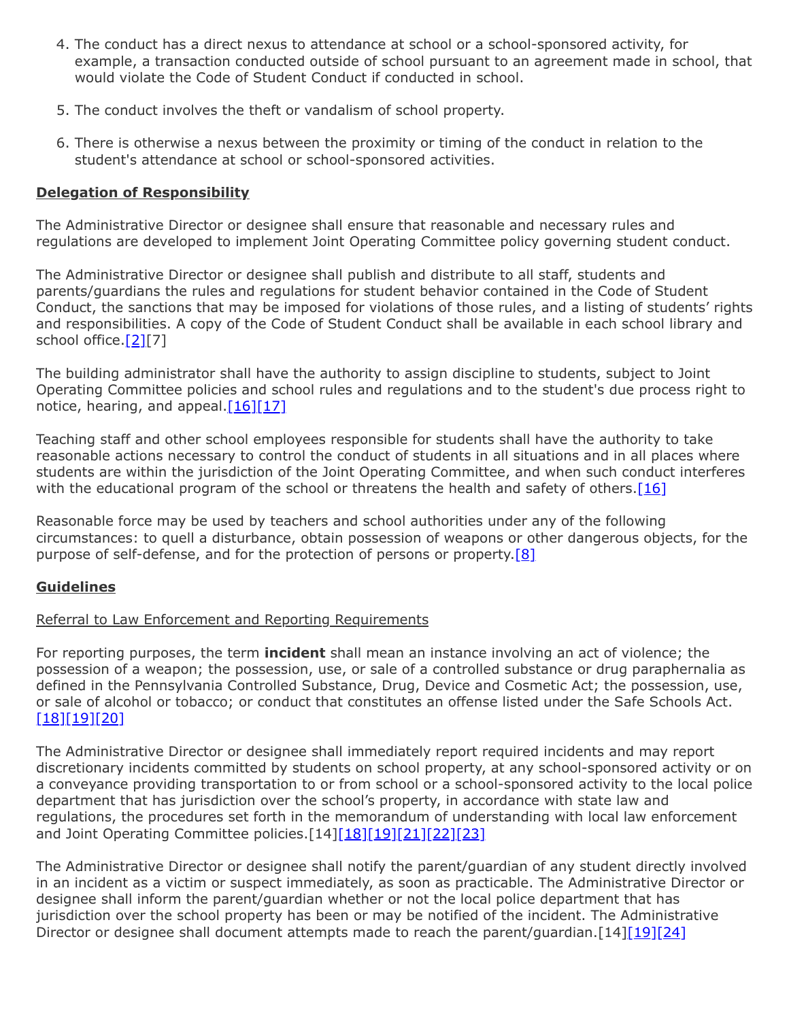- 4. The conduct has a direct nexus to attendance at school or a school-sponsored activity, for example, a transaction conducted outside of school pursuant to an agreement made in school, that would violate the Code of Student Conduct if conducted in school.
- 5. The conduct involves the theft or vandalism of school property.
- 6. There is otherwise a nexus between the proximity or timing of the conduct in relation to the student's attendance at school or school-sponsored activities.

### **Delegation of Responsibility**

The Administrative Director or designee shall ensure that reasonable and necessary rules and regulations are developed to implement Joint Operating Committee policy governing student conduct.

The Administrative Director or designee shall publish and distribute to all staff, students and parents/guardians the rules and regulations for student behavior contained in the Code of Student Conduct, the sanctions that may be imposed for violations of those rules, and a listing of students' rights and responsibilities. A copy of the Code of Student Conduct shall be available in each school library and school office[.\[2\]\[](http://pacodeandbulletin.gov/Display/pacode?file=/secure/pacode/data/022/chapter12/s12.3.html&d=reduce)7]

The building administrator shall have the authority to assign discipline to students, subject to Joint Operating Committee policies and school rules and regulations and to the student's due process right to notice, hearing, and appeal. $[16][17]$  $[16][17]$ 

Teaching staff and other school employees responsible for students shall have the authority to take reasonable actions necessary to control the conduct of students in all situations and in all places where students are within the jurisdiction of the Joint Operating Committee, and when such conduct interferes with the educational program of the school or threatens the health and safety of others.<sup>[\[16\]](http://www.legis.state.pa.us/cfdocs/legis/LI/uconsCheck.cfm?txtType=HTM&yr=1949&sessInd=0&smthLwInd=0&act=14&chpt=13&sctn=17&subsctn=0)</sup>

Reasonable force may be used by teachers and school authorities under any of the following circumstances: to quell a disturbance, obtain possession of weapons or other dangerous objects, for the purpose of self-defense, and for the protection of persons or property.[\[8\]](http://pacodeandbulletin.gov/Display/pacode?file=/secure/pacode/data/022/chapter12/s12.5.html&d=reduce)

# **Guidelines**

### Referral to Law Enforcement and Reporting Requirements

For reporting purposes, the term **incident** shall mean an instance involving an act of violence; the possession of a weapon; the possession, use, or sale of a controlled substance or drug paraphernalia as defined in the Pennsylvania Controlled Substance, Drug, Device and Cosmetic Act; the possession, use, or sale of alcohol or tobacco; or conduct that constitutes an offense listed under the Safe Schools Act. [\[18\]](http://www.legis.state.pa.us/cfdocs/legis/LI/uconsCheck.cfm?txtType=HTM&yr=1949&sessInd=0&smthLwInd=0&act=14&chpt=13A&sctn=3&subsctn=0)[\[19\]](http://pacodeandbulletin.gov/Display/pacode?file=/secure/pacode/data/022/chapter10/s10.2.html&d=reduce)[\[20\]](http://www.legis.state.pa.us/cfdocs/Legis/LI/uconsCheck.cfm?txtType=HTM&yr=1972&sessInd=0&smthLwInd=0&act=0064.)

The Administrative Director or designee shall immediately report required incidents and may report discretionary incidents committed by students on school property, at any school-sponsored activity or on a conveyance providing transportation to or from school or a school-sponsored activity to the local police department that has jurisdiction over the school's property, in accordance with state law and regulations, the procedures set forth in the memorandum of understanding with local law enforcement and Joint Operating Committee policies.[14[\]\[18\]](http://www.legis.state.pa.us/cfdocs/legis/LI/uconsCheck.cfm?txtType=HTM&yr=1949&sessInd=0&smthLwInd=0&act=14&chpt=13A&sctn=3&subsctn=0)[\[19\]](http://pacodeandbulletin.gov/Display/pacode?file=/secure/pacode/data/022/chapter10/s10.2.html&d=reduce)[\[21\]](http://www.legis.state.pa.us/cfdocs/legis/LI/uconsCheck.cfm?txtType=HTM&yr=1949&sessInd=0&smthLwInd=0&act=14&chpt=13A&sctn=2&subsctn=1)[\[22\]](http://pacodeandbulletin.gov/Display/pacode?file=/secure/pacode/data/022/chapter10/s10.21.html&d=reduce)[\[23\]](http://pacodeandbulletin.gov/Display/pacode?file=/secure/pacode/data/022/chapter10/s10.22.html&d=reduce)

The Administrative Director or designee shall notify the parent/guardian of any student directly involved in an incident as a victim or suspect immediately, as soon as practicable. The Administrative Director or designee shall inform the parent/guardian whether or not the local police department that has jurisdiction over the school property has been or may be notified of the incident. The Administrative Director or designee shall document attempts made to reach the parent/guardian. [14[\]\[19\]](http://pacodeandbulletin.gov/Display/pacode?file=/secure/pacode/data/022/chapter10/s10.2.html&d=reduce)[\[24\]](http://pacodeandbulletin.gov/Display/pacode?file=/secure/pacode/data/022/chapter10/s10.25.html&d=reduce)